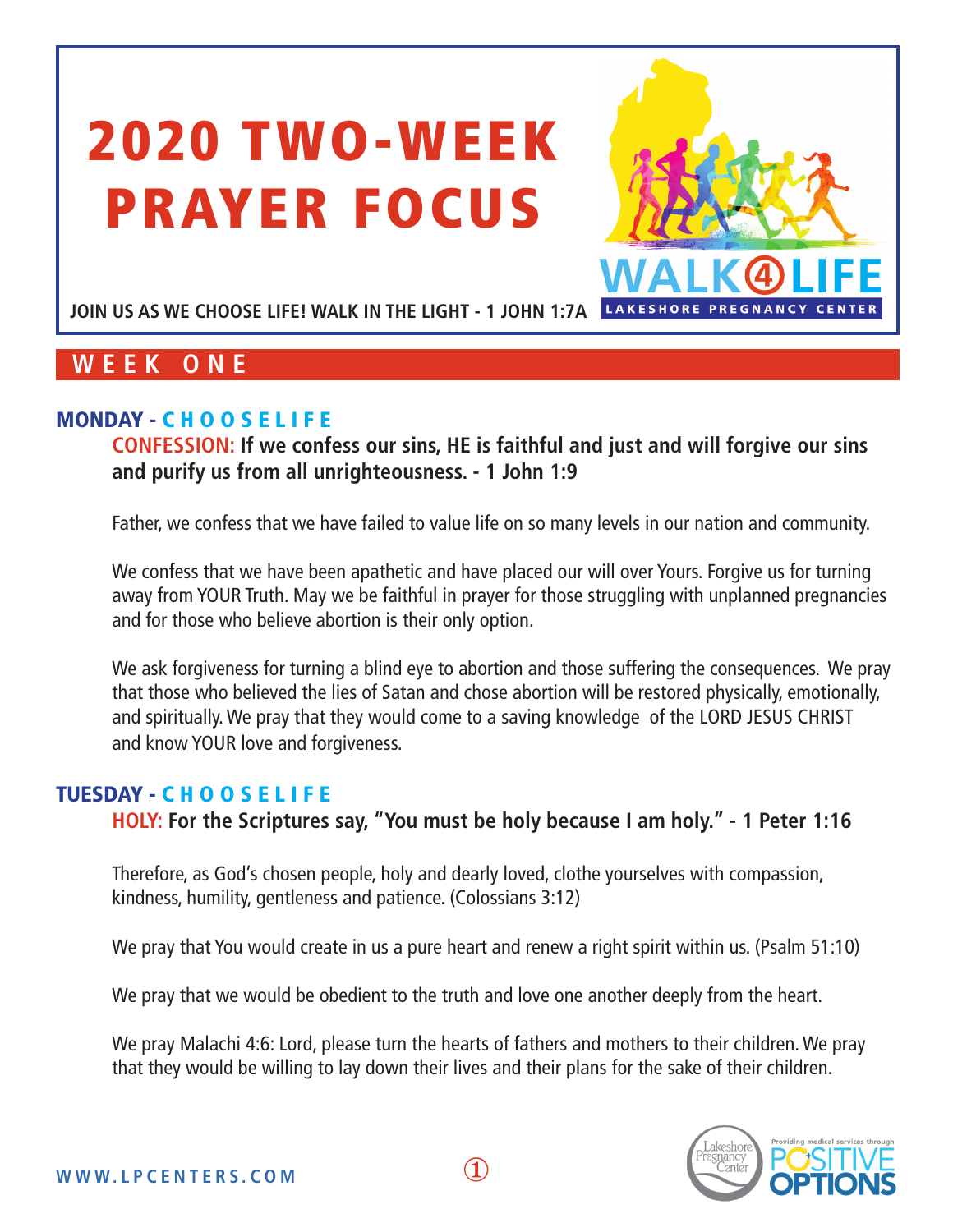# 2020 TWO-WEEK PRAYER FOCUS



JOIN US AS WE CHOOSE LIFE! WALK IN THE LIGHT - 1 JOHN 1:7A LAKESHORE PREGNANCY

# **WEEK ONE**

## MONDAY - C H O O S E L I F E

**CONFESSION: If we confess our sins, HE is faithful and just and will forgive our sins and purify us from all unrighteousness. - 1 John 1:9**

Father, we confess that we have failed to value life on so many levels in our nation and community.

We confess that we have been apathetic and have placed our will over Yours. Forgive us for turning away from YOUR Truth. May we be faithful in prayer for those struggling with unplanned pregnancies and for those who believe abortion is their only option.

We ask forgiveness for turning a blind eye to abortion and those suffering the consequences. We pray that those who believed the lies of Satan and chose abortion will be restored physically, emotionally, and spiritually. We pray that they would come to a saving knowledge of the LORD JESUS CHRIST and know YOUR love and forgiveness.

## TUESDAY - C H O O S E L I F E

**HOLY: For the Scriptures say, "You must be holy because I am holy." - 1 Peter 1:16**

Therefore, as God's chosen people, holy and dearly loved, clothe yourselves with compassion, kindness, humility, gentleness and patience. (Colossians 3:12)

We pray that You would create in us a pure heart and renew a right spirit within us. (Psalm 51:10)

We pray that we would be obedient to the truth and love one another deeply from the heart.

We pray Malachi 4:6: Lord, please turn the hearts of fathers and mothers to their children. We pray that they would be willing to lay down their lives and their plans for the sake of their children.

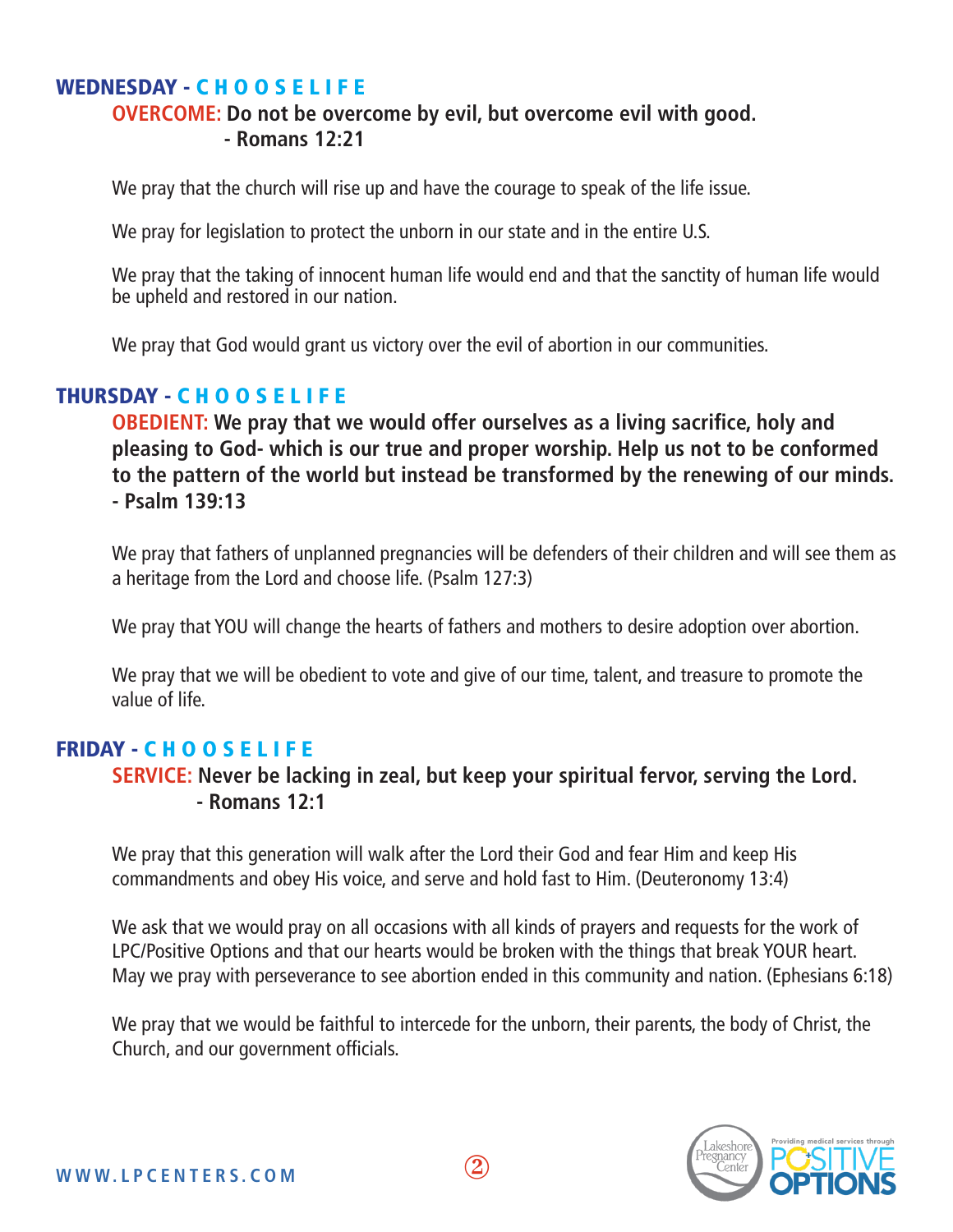## WEDNESDAY - C H O O S E L I F E

## **OVERCOME: Do not be overcome by evil, but overcome evil with good. - Romans 12:21**

We pray that the church will rise up and have the courage to speak of the life issue.

We pray for legislation to protect the unborn in our state and in the entire U.S.

We pray that the taking of innocent human life would end and that the sanctity of human life would be upheld and restored in our nation.

We pray that God would grant us victory over the evil of abortion in our communities.

## THURSDAY - C H O O S E L I F E

**OBEDIENT: We pray that we would offer ourselves as a living sacrifice, holy and pleasing to God- which is our true and proper worship. Help us not to be conformed to the pattern of the world but instead be transformed by the renewing of our minds. - Psalm 139:13**

We pray that fathers of unplanned pregnancies will be defenders of their children and will see them as a heritage from the Lord and choose life. (Psalm 127:3)

We pray that YOU will change the hearts of fathers and mothers to desire adoption over abortion.

We pray that we will be obedient to vote and give of our time, talent, and treasure to promote the value of life.

## FRIDAY - C H O O S E L I F E

## **SERVICE: Never be lacking in zeal, but keep your spiritual fervor, serving the Lord. - Romans 12:1**

We pray that this generation will walk after the Lord their God and fear Him and keep His commandments and obey His voice, and serve and hold fast to Him. (Deuteronomy 13:4)

We ask that we would pray on all occasions with all kinds of prayers and requests for the work of LPC/Positive Options and that our hearts would be broken with the things that break YOUR heart. May we pray with perseverance to see abortion ended in this community and nation. (Ephesians 6:18)

We pray that we would be faithful to intercede for the unborn, their parents, the body of Christ, the Church, and our government officials.

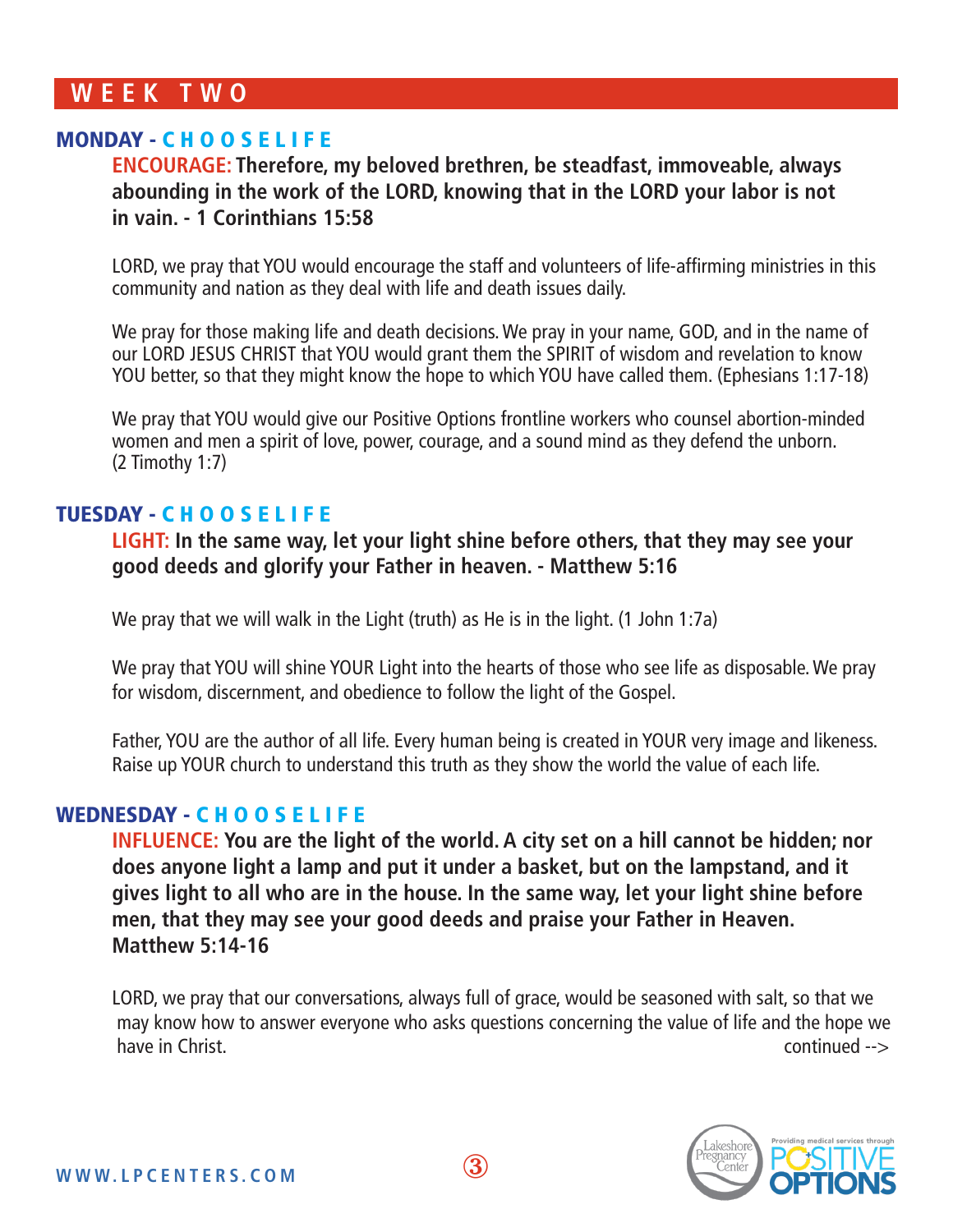## **WEEK TWO**

## MONDAY - C H O O S E L I F E

**ENCOURAGE: Therefore, my beloved brethren, be steadfast, immoveable, always abounding in the work of the LORD, knowing that in the LORD your labor is not in vain. - 1 Corinthians 15:58**

LORD, we pray that YOU would encourage the staff and volunteers of life-affirming ministries in this community and nation as they deal with life and death issues daily.

We pray for those making life and death decisions. We pray in your name, GOD, and in the name of our LORD JESUS CHRIST that YOU would grant them the SPIRIT of wisdom and revelation to know YOU better, so that they might know the hope to which YOU have called them. (Ephesians 1:17-18)

We pray that YOU would give our Positive Options frontline workers who counsel abortion-minded women and men a spirit of love, power, courage, and a sound mind as they defend the unborn. (2 Timothy 1:7)

#### TUESDAY - C H O O S E L I F E

**LIGHT: In the same way, let your light shine before others, that they may see your good deeds and glorify your Father in heaven. - Matthew 5:16**

We pray that we will walk in the Light (truth) as He is in the light. (1 John 1:7a)

We pray that YOU will shine YOUR Light into the hearts of those who see life as disposable. We pray for wisdom, discernment, and obedience to follow the light of the Gospel.

Father, YOU are the author of all life. Every human being is created in YOUR very image and likeness. Raise up YOUR church to understand this truth as they show the world the value of each life.

#### WEDNESDAY - C H O O S E L I F E

**INFLUENCE: You are the light of the world. A city set on a hill cannot be hidden; nor does anyone light a lamp and put it under a basket, but on the lampstand, and it gives light to all who are in the house. In the same way, let your light shine before men, that they may see your good deeds and praise your Father in Heaven. Matthew 5:14-16**

LORD, we pray that our conversations, always full of grace, would be seasoned with salt, so that we may know how to answer everyone who asks questions concerning the value of life and the hope we have in Christ. Continued -->